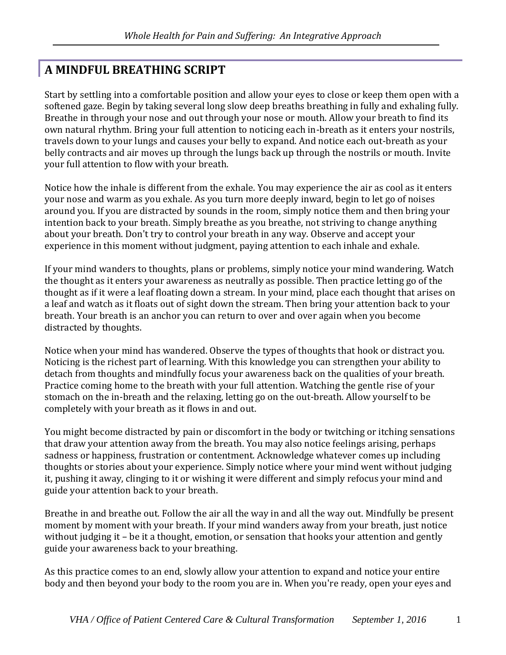## **A MINDFUL BREATHING SCRIPT**

Start by settling into a comfortable position and allow your eyes to close or keep them open with a softened gaze. Begin by taking several long slow deep breaths breathing in fully and exhaling fully. Breathe in through your nose and out through your nose or mouth. Allow your breath to find its own natural rhythm. Bring your full attention to noticing each in-breath as it enters your nostrils, travels down to your lungs and causes your belly to expand. And notice each out-breath as your belly contracts and air moves up through the lungs back up through the nostrils or mouth. Invite your full attention to flow with your breath.

Notice how the inhale is different from the exhale. You may experience the air as cool as it enters your nose and warm as you exhale. As you turn more deeply inward, begin to let go of noises around you. If you are distracted by sounds in the room, simply notice them and then bring your intention back to your breath. Simply breathe as you breathe, not striving to change anything about your breath. Don't try to control your breath in any way. Observe and accept your experience in this moment without judgment, paying attention to each inhale and exhale.

If your mind wanders to thoughts, plans or problems, simply notice your mind wandering. Watch the thought as it enters your awareness as neutrally as possible. Then practice letting go of the thought as if it were a leaf floating down a stream. In your mind, place each thought that arises on a leaf and watch as it floats out of sight down the stream. Then bring your attention back to your breath. Your breath is an anchor you can return to over and over again when you become distracted by thoughts.

Notice when your mind has wandered. Observe the types of thoughts that hook or distract you. Noticing is the richest part of learning. With this knowledge you can strengthen your ability to detach from thoughts and mindfully focus your awareness back on the qualities of your breath. Practice coming home to the breath with your full attention. Watching the gentle rise of your stomach on the in-breath and the relaxing, letting go on the out-breath. Allow yourself to be completely with your breath as it flows in and out.

You might become distracted by pain or discomfort in the body or twitching or itching sensations that draw your attention away from the breath. You may also notice feelings arising, perhaps sadness or happiness, frustration or contentment. Acknowledge whatever comes up including thoughts or stories about your experience. Simply notice where your mind went without judging it, pushing it away, clinging to it or wishing it were different and simply refocus your mind and guide your attention back to your breath.

Breathe in and breathe out. Follow the air all the way in and all the way out. Mindfully be present moment by moment with your breath. If your mind wanders away from your breath, just notice without judging it – be it a thought, emotion, or sensation that hooks your attention and gently guide your awareness back to your breathing.

As this practice comes to an end, slowly allow your attention to expand and notice your entire body and then beyond your body to the room you are in. When you're ready, open your eyes and